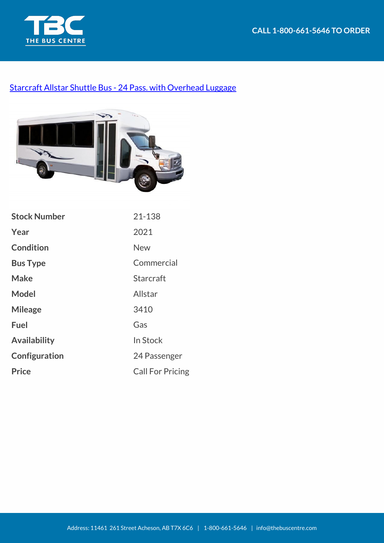



## [Starcraft Allstar Shuttle Bus - 24 Pass. with Overhead Luggage](https://thebuscentre.com/buses/21-129-starcraft-allstar-shuttle-bus/)



| <b>Stock Number</b> | 21-138                  |
|---------------------|-------------------------|
| Year                | 2021                    |
| <b>Condition</b>    | New                     |
| <b>Bus Type</b>     | Commercial              |
| <b>Make</b>         | <b>Starcraft</b>        |
| Model               | Allstar                 |
| <b>Mileage</b>      | 3410                    |
| <b>Fuel</b>         | Gas                     |
| <b>Availability</b> | In Stock                |
| Configuration       | 24 Passenger            |
| <b>Price</b>        | <b>Call For Pricing</b> |